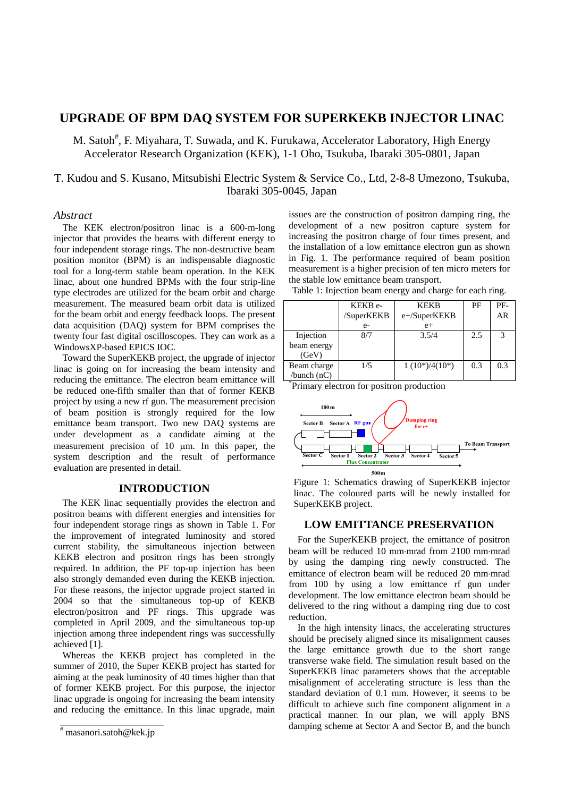# **UPGRADE OF BPM DAQ SYSTEM FOR SUPERKEKB INJECTOR LINAC**

M. Satoh<sup>#</sup>, F. Miyahara, T. Suwada, and K. Furukawa, Accelerator Laboratory, High Energy Accelerator Research Organization (KEK), 1-1 Oho, Tsukuba, Ibaraki 305-0801, Japan

T. Kudou and S. Kusano, Mitsubishi Electric System & Service Co., Ltd, 2-8-8 Umezono, Tsukuba, Ibaraki 305-0045, Japan

### *Abstract*

The KEK electron/positron linac is a 600-m-long injector that provides the beams with different energy to four independent storage rings. The non-destructive beam position monitor (BPM) is an indispensable diagnostic tool for a long-term stable beam operation. In the KEK linac, about one hundred BPMs with the four strip-line type electrodes are utilized for the beam orbit and charge measurement. The measured beam orbit data is utilized for the beam orbit and energy feedback loops. The present data acquisition (DAQ) system for BPM comprises the twenty four fast digital oscilloscopes. They can work as a WindowsXP-based EPICS IOC.

Toward the SuperKEKB project, the upgrade of injector linac is going on for increasing the beam intensity and reducing the emittance. The electron beam emittance will be reduced one-fifth smaller than that of former KEKB project by using a new rf gun. The measurement precision of beam position is strongly required for the low emittance beam transport. Two new DAQ systems are under development as a candidate aiming at the measurement precision of  $10 \mu m$ . In this paper, the system description and the result of performance evaluation are presented in detail.

# **INTRODUCTION**

The KEK linac sequentially provides the electron and positron beams with different energies and intensities for four independent storage rings as shown in Table 1. For the improvement of integrated luminosity and stored current stability, the simultaneous injection between KEKB electron and positron rings has been strongly required. In addition, the PF top-up injection has been also strongly demanded even during the KEKB injection. For these reasons, the injector upgrade project started in 2004 so that the simultaneous top-up of KEKB electron/positron and PF rings. This upgrade was completed in April 2009, and the simultaneous top-up injection among three independent rings was successfully achieved [1].

Whereas the KEKB project has completed in the summer of 2010, the Super KEKB project has started for aiming at the peak luminosity of 40 times higher than that of former KEKB project. For this purpose, the injector linac upgrade is ongoing for increasing the beam intensity and reducing the emittance. In this linac upgrade, main issues are the construction of positron damping ring, the development of a new positron capture system for increasing the positron charge of four times present, and the installation of a low emittance electron gun as shown in Fig. 1. The performance required of beam position measurement is a higher precision of ten micro meters for the stable low emittance beam transport.

Table 1: Injection beam energy and charge for each ring.

|                                           | KEKB <sub>e</sub> -<br>/SuperKEKB | <b>KEKB</b><br>e+/SuperKEKB | PF  | PF-<br>AR |
|-------------------------------------------|-----------------------------------|-----------------------------|-----|-----------|
|                                           | $e-$                              | $e+$                        |     |           |
| Injection                                 | 8/7                               | 3.5/4                       | 2.5 | 3         |
| beam energy                               |                                   |                             |     |           |
| (GeV)                                     |                                   |                             |     |           |
| Beam charge                               | 1/5                               | $1(10^*)/4(10^*)$           | 0.3 | 0.3       |
| /bunch $(nC)$<br>$\overline{\phantom{a}}$ |                                   |                             |     |           |







## **LOW EMITTANCE PRESERVATION**

For the SuperKEKB project, the emittance of positron beam will be reduced 10 mm·mrad from 2100 mm·mrad by using the damping ring newly constructed. The emittance of electron beam will be reduced 20 mm·mrad from 100 by using a low emittance rf gun under development. The low emittance electron beam should be delivered to the ring without a damping ring due to cost reduction.

In the high intensity linacs, the accelerating structures should be precisely aligned since its misalignment causes the large emittance growth due to the short range transverse wake field. The simulation result based on the SuperKEKB linac parameters shows that the acceptable misalignment of accelerating structure is less than the standard deviation of 0.1 mm. However, it seems to be difficult to achieve such fine component alignment in a practical manner. In our plan, we will apply BNS damping scheme at Sector A and Sector B, and the bunch

 $\overline{\text{maxanori.satoh@kek.jp}}$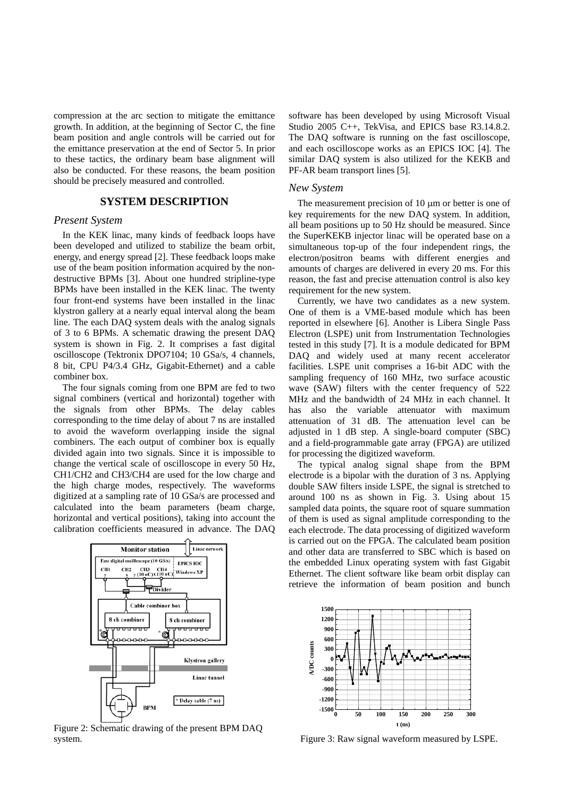compression at the arc section to mitigate the emittance growth. In addition, at the beginning of Sector C, the fine beam position and angle controls will be carried out for the emittance preservation at the end of Sector 5. In prior to these tactics, the ordinary beam base alignment will also be conducted. For these reasons, the beam position should be precisely measured and controlled.

### **SYSTEM DESCRIPTION**

#### *Present System*

In the KEK linac, many kinds of feedback loops have been developed and utilized to stabilize the beam orbit, energy, and energy spread [2]. These feedback loops make use of the beam position information acquired by the nondestructive BPMs [3]. About one hundred stripline-type BPMs have been installed in the KEK linac. The twenty four front-end systems have been installed in the linac klystron gallery at a nearly equal interval along the beam line. The each DAQ system deals with the analog signals of 3 to 6 BPMs. A schematic drawing the present DAQ system is shown in Fig. 2. It comprises a fast digital oscilloscope (Tektronix DPO7104; 10 GSa/s, 4 channels, 8 bit, CPU P4/3.4 GHz, Gigabit-Ethernet) and a cable combiner box.

The four signals coming from one BPM are fed to two signal combiners (vertical and horizontal) together with the signals from other BPMs. The delay cables corresponding to the time delay of about 7 ns are installed to avoid the waveform overlapping inside the signal combiners. The each output of combiner box is equally divided again into two signals. Since it is impossible to change the vertical scale of oscilloscope in every 50 Hz, CH1/CH2 and CH3/CH4 are used for the low charge and the high charge modes, respectively. The waveforms digitized at a sampling rate of 10 GSa/s are processed and calculated into the beam parameters (beam charge, horizontal and vertical positions), taking into account the calibration coefficients measured in advance. The DAQ



Figure 2: Schematic drawing of the present BPM DAQ system.

software has been developed by using Microsoft Visual Studio 2005 C++, TekVisa, and EPICS base R3.14.8.2. The DAQ software is running on the fast oscilloscope, and each oscilloscope works as an EPICS IOC [4]. The similar DAQ system is also utilized for the KEKB and PF-AR beam transport lines [5].

#### *New System*

The measurement precision of  $10 \mu m$  or better is one of key requirements for the new DAQ system. In addition, all beam positions up to 50 Hz should be measured. Since the SuperKEKB injector linac will be operated base on a simultaneous top-up of the four independent rings, the electron/positron beams with different energies and amounts of charges are delivered in every 20 ms. For this reason, the fast and precise attenuation control is also key requirement for the new system.

Currently, we have two candidates as a new system. One of them is a VME-based module which has been reported in elsewhere [6]. Another is Libera Single Pass Electron (LSPE) unit from Instrumentation Technologies tested in this study [7]. It is a module dedicated for BPM DAQ and widely used at many recent accelerator facilities. LSPE unit comprises a 16-bit ADC with the sampling frequency of 160 MHz, two surface acoustic wave (SAW) filters with the center frequency of 522 MHz and the bandwidth of 24 MHz in each channel. It has also the variable attenuator with maximum attenuation of 31 dB. The attenuation level can be adjusted in 1 dB step. A single-board computer (SBC) and a field-programmable gate array (FPGA) are utilized for processing the digitized waveform.

The typical analog signal shape from the BPM electrode is a bipolar with the duration of 3 ns. Applying double SAW filters inside LSPE, the signal is stretched to around 100 ns as shown in Fig. 3. Using about 15 sampled data points, the square root of square summation of them is used as signal amplitude corresponding to the each electrode. The data processing of digitized waveform is carried out on the FPGA. The calculated beam position and other data are transferred to SBC which is based on the embedded Linux operating system with fast Gigabit Ethernet. The client software like beam orbit display can retrieve the information of beam position and bunch



Figure 3: Raw signal waveform measured by LSPE.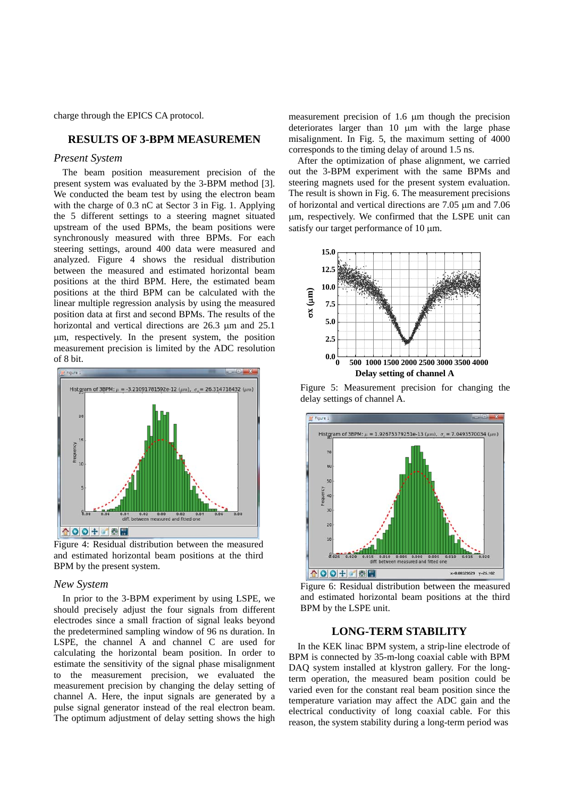charge through the EPICS CA protocol.

## **RESULTS OF 3-BPM MEASUREMEN**

### *Present System*

The beam position measurement precision of the present system was evaluated by the 3-BPM method [3]. We conducted the beam test by using the electron beam with the charge of 0.3 nC at Sector 3 in Fig. 1. Applying the 5 different settings to a steering magnet situated upstream of the used BPMs, the beam positions were synchronously measured with three BPMs. For each steering settings, around 400 data were measured and analyzed. Figure 4 shows the residual distribution between the measured and estimated horizontal beam positions at the third BPM. Here, the estimated beam positions at the third BPM can be calculated with the linear multiple regression analysis by using the measured position data at first and second BPMs. The results of the horizontal and vertical directions are  $26.3 \mu m$  and  $25.1 \mu m$ m, respectively. In the present system, the position measurement precision is limited by the ADC resolution of 8 bit.



Figure 4: Residual distribution between the measured and estimated horizontal beam positions at the third BPM by the present system.

## *New System*

In prior to the 3-BPM experiment by using LSPE, we should precisely adjust the four signals from different electrodes since a small fraction of signal leaks beyond the predetermined sampling window of 96 ns duration. In LSPE, the channel A and channel C are used for calculating the horizontal beam position. In order to estimate the sensitivity of the signal phase misalignment to the measurement precision, we evaluated the measurement precision by changing the delay setting of channel A. Here, the input signals are generated by a pulse signal generator instead of the real electron beam. The optimum adjustment of delay setting shows the high

measurement precision of  $1.6 \mu m$  though the precision deteriorates larger than  $10 \mu m$  with the large phase misalignment. In Fig. 5, the maximum setting of 4000 corresponds to the timing delay of around 1.5 ns.

After the optimization of phase alignment, we carried out the 3-BPM experiment with the same BPMs and steering magnets used for the present system evaluation. The result is shown in Fig. 6. The measurement precisions of horizontal and vertical directions are  $7.05 \mu m$  and  $7.06 \mu m$ m, respectively. We confirmed that the LSPE unit can satisfy our target performance of 10  $\mu$ m.



Figure 5: Measurement precision for changing the delay settings of channel A.



Figure 6: Residual distribution between the measured and estimated horizontal beam positions at the third BPM by the LSPE unit.

## **LONG-TERM STABILITY**

In the KEK linac BPM system, a strip-line electrode of BPM is connected by 35-m-long coaxial cable with BPM DAQ system installed at klystron gallery. For the longterm operation, the measured beam position could be varied even for the constant real beam position since the temperature variation may affect the ADC gain and the electrical conductivity of long coaxial cable. For this reason, the system stability during a long-term period was